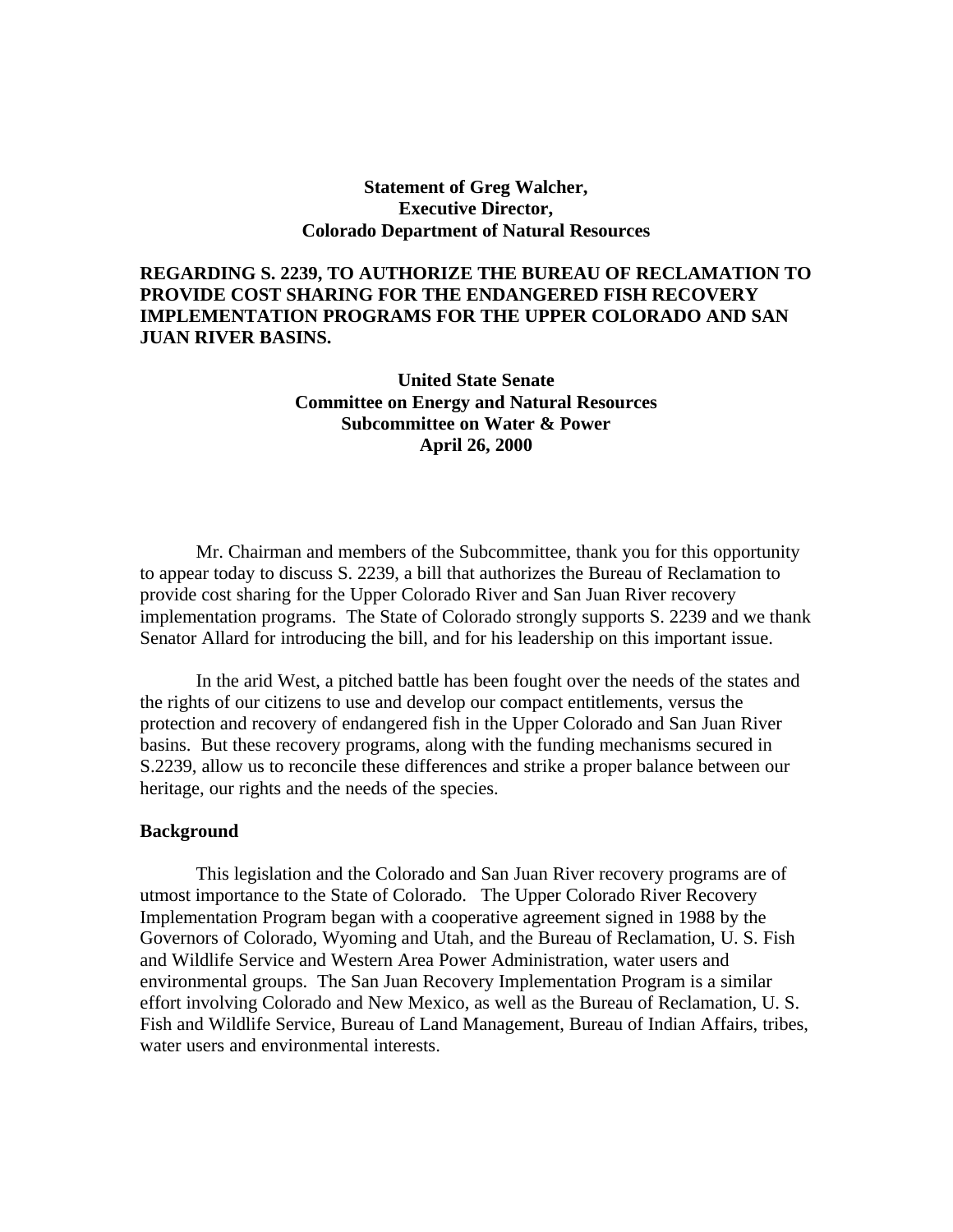### **Statement of Greg Walcher, Executive Director, Colorado Department of Natural Resources**

# **REGARDING S. 2239, TO AUTHORIZE THE BUREAU OF RECLAMATION TO PROVIDE COST SHARING FOR THE ENDANGERED FISH RECOVERY IMPLEMENTATION PROGRAMS FOR THE UPPER COLORADO AND SAN JUAN RIVER BASINS.**

## **United State Senate Committee on Energy and Natural Resources Subcommittee on Water & Power April 26, 2000**

Mr. Chairman and members of the Subcommittee, thank you for this opportunity to appear today to discuss S. 2239, a bill that authorizes the Bureau of Reclamation to provide cost sharing for the Upper Colorado River and San Juan River recovery implementation programs. The State of Colorado strongly supports S. 2239 and we thank Senator Allard for introducing the bill, and for his leadership on this important issue.

In the arid West, a pitched battle has been fought over the needs of the states and the rights of our citizens to use and develop our compact entitlements, versus the protection and recovery of endangered fish in the Upper Colorado and San Juan River basins. But these recovery programs, along with the funding mechanisms secured in S.2239, allow us to reconcile these differences and strike a proper balance between our heritage, our rights and the needs of the species.

#### **Background**

This legislation and the Colorado and San Juan River recovery programs are of utmost importance to the State of Colorado. The Upper Colorado River Recovery Implementation Program began with a cooperative agreement signed in 1988 by the Governors of Colorado, Wyoming and Utah, and the Bureau of Reclamation, U. S. Fish and Wildlife Service and Western Area Power Administration, water users and environmental groups. The San Juan Recovery Implementation Program is a similar effort involving Colorado and New Mexico, as well as the Bureau of Reclamation, U. S. Fish and Wildlife Service, Bureau of Land Management, Bureau of Indian Affairs, tribes, water users and environmental interests.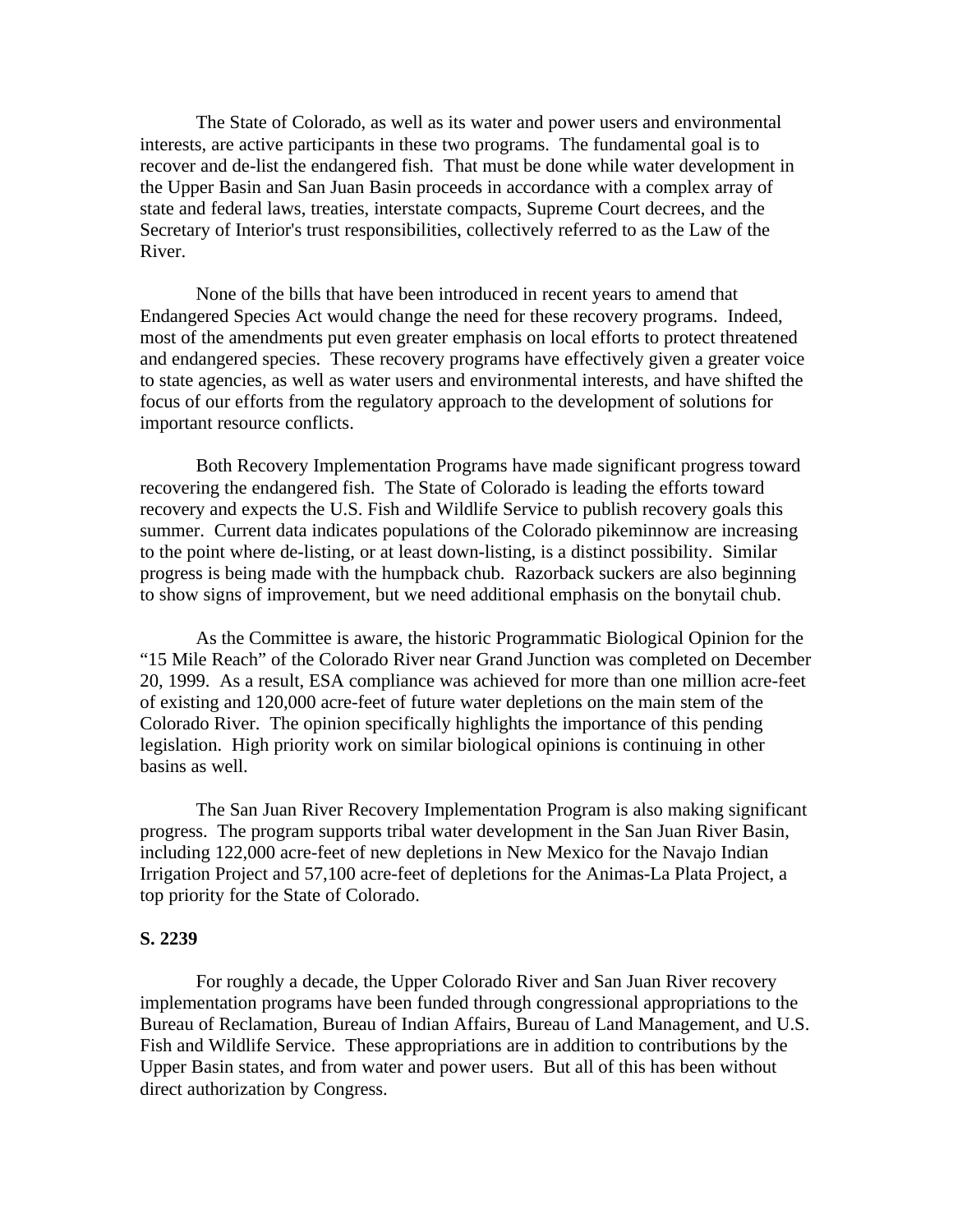The State of Colorado, as well as its water and power users and environmental interests, are active participants in these two programs. The fundamental goal is to recover and de-list the endangered fish. That must be done while water development in the Upper Basin and San Juan Basin proceeds in accordance with a complex array of state and federal laws, treaties, interstate compacts, Supreme Court decrees, and the Secretary of Interior's trust responsibilities, collectively referred to as the Law of the River.

None of the bills that have been introduced in recent years to amend that Endangered Species Act would change the need for these recovery programs. Indeed, most of the amendments put even greater emphasis on local efforts to protect threatened and endangered species. These recovery programs have effectively given a greater voice to state agencies, as well as water users and environmental interests, and have shifted the focus of our efforts from the regulatory approach to the development of solutions for important resource conflicts.

Both Recovery Implementation Programs have made significant progress toward recovering the endangered fish. The State of Colorado is leading the efforts toward recovery and expects the U.S. Fish and Wildlife Service to publish recovery goals this summer. Current data indicates populations of the Colorado pikeminnow are increasing to the point where de-listing, or at least down-listing, is a distinct possibility. Similar progress is being made with the humpback chub. Razorback suckers are also beginning to show signs of improvement, but we need additional emphasis on the bonytail chub.

As the Committee is aware, the historic Programmatic Biological Opinion for the "15 Mile Reach" of the Colorado River near Grand Junction was completed on December 20, 1999. As a result, ESA compliance was achieved for more than one million acre-feet of existing and 120,000 acre-feet of future water depletions on the main stem of the Colorado River. The opinion specifically highlights the importance of this pending legislation. High priority work on similar biological opinions is continuing in other basins as well.

The San Juan River Recovery Implementation Program is also making significant progress. The program supports tribal water development in the San Juan River Basin, including 122,000 acre-feet of new depletions in New Mexico for the Navajo Indian Irrigation Project and 57,100 acre-feet of depletions for the Animas-La Plata Project, a top priority for the State of Colorado.

#### **S. 2239**

For roughly a decade, the Upper Colorado River and San Juan River recovery implementation programs have been funded through congressional appropriations to the Bureau of Reclamation, Bureau of Indian Affairs, Bureau of Land Management, and U.S. Fish and Wildlife Service. These appropriations are in addition to contributions by the Upper Basin states, and from water and power users. But all of this has been without direct authorization by Congress.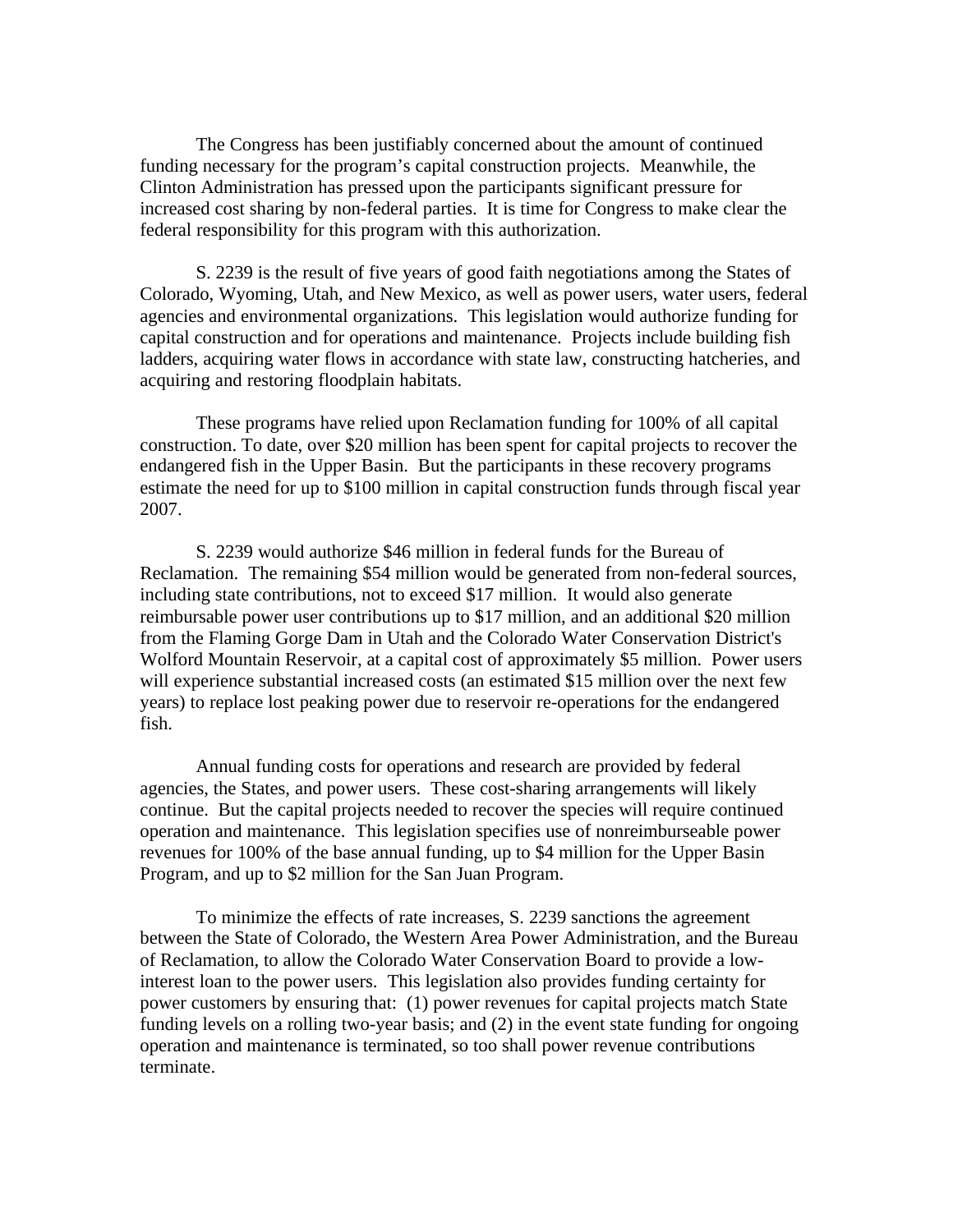The Congress has been justifiably concerned about the amount of continued funding necessary for the program's capital construction projects. Meanwhile, the Clinton Administration has pressed upon the participants significant pressure for increased cost sharing by non-federal parties. It is time for Congress to make clear the federal responsibility for this program with this authorization.

S. 2239 is the result of five years of good faith negotiations among the States of Colorado, Wyoming, Utah, and New Mexico, as well as power users, water users, federal agencies and environmental organizations. This legislation would authorize funding for capital construction and for operations and maintenance. Projects include building fish ladders, acquiring water flows in accordance with state law, constructing hatcheries, and acquiring and restoring floodplain habitats.

These programs have relied upon Reclamation funding for 100% of all capital construction. To date, over \$20 million has been spent for capital projects to recover the endangered fish in the Upper Basin. But the participants in these recovery programs estimate the need for up to \$100 million in capital construction funds through fiscal year 2007.

S. 2239 would authorize \$46 million in federal funds for the Bureau of Reclamation. The remaining \$54 million would be generated from non-federal sources, including state contributions, not to exceed \$17 million. It would also generate reimbursable power user contributions up to \$17 million, and an additional \$20 million from the Flaming Gorge Dam in Utah and the Colorado Water Conservation District's Wolford Mountain Reservoir, at a capital cost of approximately \$5 million. Power users will experience substantial increased costs (an estimated \$15 million over the next few years) to replace lost peaking power due to reservoir re-operations for the endangered fish.

Annual funding costs for operations and research are provided by federal agencies, the States, and power users. These cost-sharing arrangements will likely continue. But the capital projects needed to recover the species will require continued operation and maintenance. This legislation specifies use of nonreimburseable power revenues for 100% of the base annual funding, up to \$4 million for the Upper Basin Program, and up to \$2 million for the San Juan Program.

To minimize the effects of rate increases, S. 2239 sanctions the agreement between the State of Colorado, the Western Area Power Administration, and the Bureau of Reclamation, to allow the Colorado Water Conservation Board to provide a lowinterest loan to the power users. This legislation also provides funding certainty for power customers by ensuring that: (1) power revenues for capital projects match State funding levels on a rolling two-year basis; and (2) in the event state funding for ongoing operation and maintenance is terminated, so too shall power revenue contributions terminate.